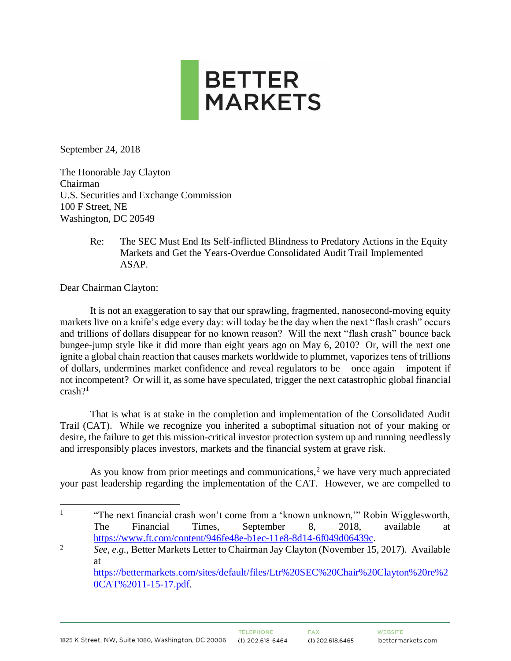

September 24, 2018

The Honorable Jay Clayton Chairman U.S. Securities and Exchange Commission 100 F Street, NE Washington, DC 20549

> Re: The SEC Must End Its Self-inflicted Blindness to Predatory Actions in the Equity Markets and Get the Years-Overdue Consolidated Audit Trail Implemented ASAP.

Dear Chairman Clayton:

 $\overline{a}$ 

It is not an exaggeration to say that our sprawling, fragmented, nanosecond-moving equity markets live on a knife's edge every day: will today be the day when the next "flash crash" occurs and trillions of dollars disappear for no known reason? Will the next "flash crash" bounce back bungee-jump style like it did more than eight years ago on May 6, 2010? Or, will the next one ignite a global chain reaction that causes markets worldwide to plummet, vaporizes tens of trillions of dollars, undermines market confidence and reveal regulators to be – once again – impotent if not incompetent? Or will it, as some have speculated, trigger the next catastrophic global financial crash? 1

That is what is at stake in the completion and implementation of the Consolidated Audit Trail (CAT). While we recognize you inherited a suboptimal situation not of your making or desire, the failure to get this mission-critical investor protection system up and running needlessly and irresponsibly places investors, markets and the financial system at grave risk.

As you know from prior meetings and communications,<sup>2</sup> we have very much appreciated your past leadership regarding the implementation of the CAT. However, we are compelled to

<sup>1</sup> "The next financial crash won't come from a 'known unknown,'" Robin Wigglesworth, The Financial Times, September 8, 2018, available at [https://www.ft.com/content/946fe48e-b1ec-11e8-8d14-6f049d06439c.](https://www.ft.com/content/946fe48e-b1ec-11e8-8d14-6f049d06439c)

<sup>&</sup>lt;sup>2</sup> *See, e.g.,* Better Markets Letter to Chairman Jay Clayton (November 15, 2017). Available at

[https://bettermarkets.com/sites/default/files/Ltr%20SEC%20Chair%20Clayton%20re%2](https://bettermarkets.com/sites/default/files/Ltr%20SEC%20Chair%20Clayton%20re%20CAT%2011-15-17.pdf) [0CAT%2011-15-17.pdf.](https://bettermarkets.com/sites/default/files/Ltr%20SEC%20Chair%20Clayton%20re%20CAT%2011-15-17.pdf)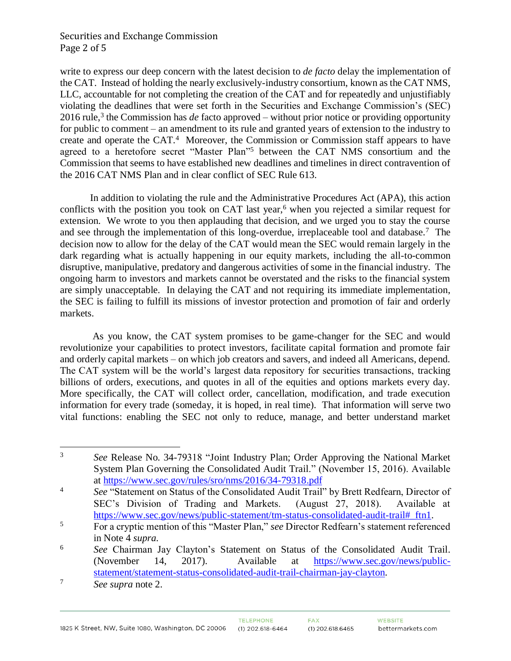## Securities and Exchange Commission Page 2 of 5

write to express our deep concern with the latest decision to *de facto* delay the implementation of the CAT. Instead of holding the nearly exclusively-industry consortium, known as the CAT NMS, LLC, accountable for not completing the creation of the CAT and for repeatedly and unjustifiably violating the deadlines that were set forth in the Securities and Exchange Commission's (SEC) 2016 rule, 3 the Commission has *de* facto approved – without prior notice or providing opportunity for public to comment – an amendment to its rule and granted years of extension to the industry to create and operate the CAT.<sup>4</sup> Moreover, the Commission or Commission staff appears to have agreed to a heretofore secret "Master Plan" <sup>5</sup> between the CAT NMS consortium and the Commission that seems to have established new deadlines and timelines in direct contravention of the 2016 CAT NMS Plan and in clear conflict of SEC Rule 613.

In addition to violating the rule and the Administrative Procedures Act (APA), this action conflicts with the position you took on CAT last year,<sup>6</sup> when you rejected a similar request for extension. We wrote to you then applauding that decision, and we urged you to stay the course and see through the implementation of this long-overdue, irreplaceable tool and database.<sup>7</sup> The decision now to allow for the delay of the CAT would mean the SEC would remain largely in the dark regarding what is actually happening in our equity markets, including the all-to-common disruptive, manipulative, predatory and dangerous activities of some in the financial industry. The ongoing harm to investors and markets cannot be overstated and the risks to the financial system are simply unacceptable. In delaying the CAT and not requiring its immediate implementation, the SEC is failing to fulfill its missions of investor protection and promotion of fair and orderly markets.

As you know, the CAT system promises to be game-changer for the SEC and would revolutionize your capabilities to protect investors, facilitate capital formation and promote fair and orderly capital markets – on which job creators and savers, and indeed all Americans, depend. The CAT system will be the world's largest data repository for securities transactions, tracking billions of orders, executions, and quotes in all of the equities and options markets every day. More specifically, the CAT will collect order, cancellation, modification, and trade execution information for every trade (someday, it is hoped, in real time). That information will serve two vital functions: enabling the SEC not only to reduce, manage, and better understand market

 $\overline{3}$ <sup>3</sup> *See* Release No. 34-79318 "Joint Industry Plan; Order Approving the National Market System Plan Governing the Consolidated Audit Trail." (November 15, 2016). Available at<https://www.sec.gov/rules/sro/nms/2016/34-79318.pdf>

<sup>4</sup> *See* "Statement on Status of the Consolidated Audit Trail" by Brett Redfearn, Director of SEC's Division of Trading and Markets. (August 27, 2018). Available at https://www.sec.gov/news/public-statement/tm-status-consolidated-audit-trail# ftn1.

<sup>5</sup> For a cryptic mention of this "Master Plan," *see* Director Redfearn's statement referenced in Note 4 *supra.*

<sup>6</sup> *See* Chairman Jay Clayton's Statement on Status of the Consolidated Audit Trail. (November 14, 2017). Available at [https://www.sec.gov/news/public](https://www.sec.gov/news/public-statement/statement-status-consolidated-audit-trail-chairman-jay-clayton)[statement/statement-status-consolidated-audit-trail-chairman-jay-clayton.](https://www.sec.gov/news/public-statement/statement-status-consolidated-audit-trail-chairman-jay-clayton)

<sup>7</sup> *See supra* note 2.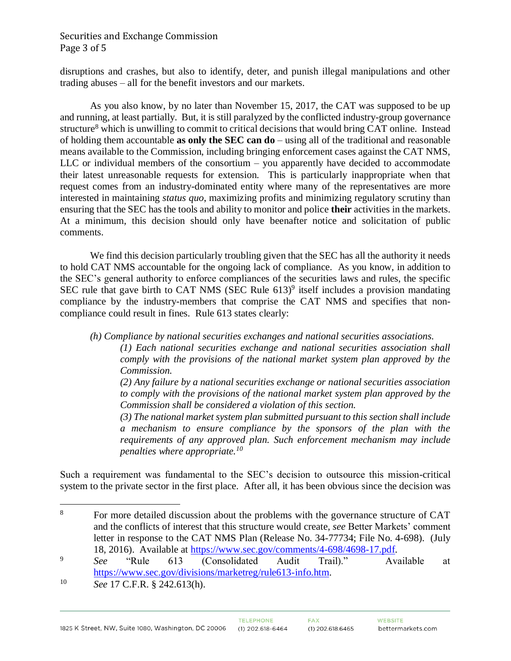## Securities and Exchange Commission Page 3 of 5

disruptions and crashes, but also to identify, deter, and punish illegal manipulations and other trading abuses – all for the benefit investors and our markets.

As you also know, by no later than November 15, 2017, the CAT was supposed to be up and running, at least partially. But, it is still paralyzed by the conflicted industry-group governance structure<sup>8</sup> which is unwilling to commit to critical decisions that would bring CAT online. Instead of holding them accountable **as only the SEC can do** – using all of the traditional and reasonable means available to the Commission, including bringing enforcement cases against the CAT NMS, LLC or individual members of the consortium – you apparently have decided to accommodate their latest unreasonable requests for extension. This is particularly inappropriate when that request comes from an industry-dominated entity where many of the representatives are more interested in maintaining *status quo*, maximizing profits and minimizing regulatory scrutiny than ensuring that the SEC has the tools and ability to monitor and police **their** activities in the markets. At a minimum, this decision should only have beenafter notice and solicitation of public comments.

We find this decision particularly troubling given that the SEC has all the authority it needs to hold CAT NMS accountable for the ongoing lack of compliance. As you know, in addition to the SEC's general authority to enforce compliances of the securities laws and rules, the specific SEC rule that gave birth to CAT NMS (SEC Rule 613)<sup>9</sup> itself includes a provision mandating compliance by the industry-members that comprise the CAT NMS and specifies that noncompliance could result in fines. Rule 613 states clearly:

*(h) Compliance by national securities exchanges and national securities associations.*

*(1) Each national securities exchange and national securities association shall comply with the provisions of the national market system plan approved by the Commission.*

*(2) Any failure by a national securities exchange or national securities association to comply with the provisions of the national market system plan approved by the Commission shall be considered a violation of this section.*

*(3) The national market system plan submitted pursuant to this section shall include a mechanism to ensure compliance by the sponsors of the plan with the requirements of any approved plan. Such enforcement mechanism may include penalties where appropriate.<sup>10</sup>*

Such a requirement was fundamental to the SEC's decision to outsource this mission-critical system to the private sector in the first place. After all, it has been obvious since the decision was

<sup>10</sup> *See* 17 C.F.R. § 242.613(h).

 $\overline{a}$ 

<sup>&</sup>lt;sup>8</sup> For more detailed discussion about the problems with the governance structure of CAT and the conflicts of interest that this structure would create, *see* Better Markets' comment letter in response to the CAT NMS Plan (Release No. 34-77734; File No. 4-698). (July 18, 2016). Available at [https://www.sec.gov/comments/4-698/4698-17.pdf.](https://www.sec.gov/comments/4-698/4698-17.pdf)

<sup>9</sup> *See* "Rule 613 (Consolidated Audit Trail)." Available at [https://www.sec.gov/divisions/marketreg/rule613-info.htm.](https://www.sec.gov/divisions/marketreg/rule613-info.htm)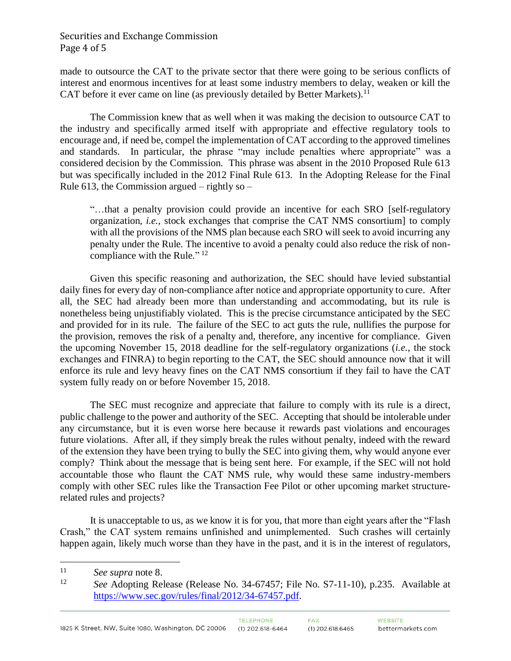## Securities and Exchange Commission Page 4 of 5

made to outsource the CAT to the private sector that there were going to be serious conflicts of interest and enormous incentives for at least some industry members to delay, weaken or kill the CAT before it ever came on line (as previously detailed by Better Markets).<sup>11</sup>

The Commission knew that as well when it was making the decision to outsource CAT to the industry and specifically armed itself with appropriate and effective regulatory tools to encourage and, if need be, compel the implementation of CAT according to the approved timelines and standards. In particular, the phrase "may include penalties where appropriate" was a considered decision by the Commission. This phrase was absent in the 2010 Proposed Rule 613 but was specifically included in the 2012 Final Rule 613. In the Adopting Release for the Final Rule 613, the Commission argued – rightly so –

"…that a penalty provision could provide an incentive for each SRO [self-regulatory organization, *i.e.,* stock exchanges that comprise the CAT NMS consortium] to comply with all the provisions of the NMS plan because each SRO will seek to avoid incurring any penalty under the Rule. The incentive to avoid a penalty could also reduce the risk of noncompliance with the Rule."<sup>12</sup>

Given this specific reasoning and authorization, the SEC should have levied substantial daily fines for every day of non-compliance after notice and appropriate opportunity to cure. After all, the SEC had already been more than understanding and accommodating, but its rule is nonetheless being unjustifiably violated. This is the precise circumstance anticipated by the SEC and provided for in its rule. The failure of the SEC to act guts the rule, nullifies the purpose for the provision, removes the risk of a penalty and, therefore, any incentive for compliance. Given the upcoming November 15, 2018 deadline for the self-regulatory organizations (*i.e.,* the stock exchanges and FINRA) to begin reporting to the CAT, the SEC should announce now that it will enforce its rule and levy heavy fines on the CAT NMS consortium if they fail to have the CAT system fully ready on or before November 15, 2018.

The SEC must recognize and appreciate that failure to comply with its rule is a direct, public challenge to the power and authority of the SEC. Accepting that should be intolerable under any circumstance, but it is even worse here because it rewards past violations and encourages future violations. After all, if they simply break the rules without penalty, indeed with the reward of the extension they have been trying to bully the SEC into giving them, why would anyone ever comply? Think about the message that is being sent here. For example, if the SEC will not hold accountable those who flaunt the CAT NMS rule, why would these same industry-members comply with other SEC rules like the Transaction Fee Pilot or other upcoming market structurerelated rules and projects?

It is unacceptable to us, as we know it is for you, that more than eight years after the "Flash Crash," the CAT system remains unfinished and unimplemented. Such crashes will certainly happen again, likely much worse than they have in the past, and it is in the interest of regulators,

 $\overline{a}$ 

<sup>11</sup> *See supra* note 8.

<sup>12</sup> *See* Adopting Release (Release No. 34-67457; File No. S7-11-10), p.235. Available at [https://www.sec.gov/rules/final/2012/34-67457.pdf.](https://www.sec.gov/rules/final/2012/34-67457.pdf)